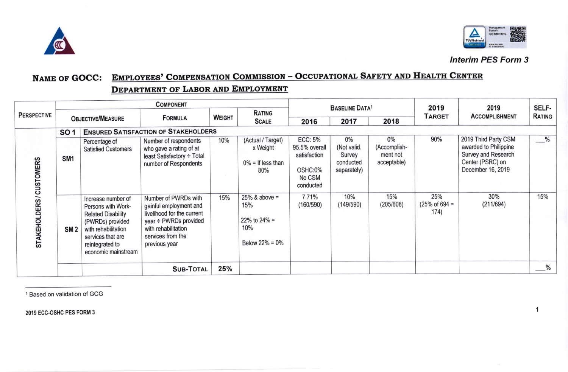



 $\overline{\mathbf{1}}$ 

## **Interim PES Form 3**

## **EMPLOYEES' COMPENSATION COMMISSION - OCCUPATIONAL SAFETY AND HEALTH CENTER NAME OF GOCC:**

## DEPARTMENT OF LABOR AND EMPLOYMENT

| <b>PERSPECTIVE</b>       | <b>COMPONENT</b>         |                                                                                                                                                                                 |                                                                                                                                                                         |               |                                                                    | <b>BASELINE DATA1</b>                                                             |                                                         |                                               | 2019                                     | 2019                                                                                                          | SELF-                          |
|--------------------------|--------------------------|---------------------------------------------------------------------------------------------------------------------------------------------------------------------------------|-------------------------------------------------------------------------------------------------------------------------------------------------------------------------|---------------|--------------------------------------------------------------------|-----------------------------------------------------------------------------------|---------------------------------------------------------|-----------------------------------------------|------------------------------------------|---------------------------------------------------------------------------------------------------------------|--------------------------------|
|                          | <b>OBJECTIVE/MEASURE</b> |                                                                                                                                                                                 | <b>FORMULA</b>                                                                                                                                                          | <b>WEIGHT</b> | RATING<br><b>SCALE</b>                                             |                                                                                   |                                                         |                                               | <b>TARGET</b>                            | <b>ACCOMPLISHMENT</b>                                                                                         | RATING                         |
|                          |                          |                                                                                                                                                                                 |                                                                                                                                                                         |               |                                                                    | 2016                                                                              | 2017                                                    | 2018                                          |                                          |                                                                                                               |                                |
| STAKEHOLDERS / CUSTOMERS | SO <sub>1</sub>          | <b>ENSURED SATISFACTION OF STAKEHOLDERS</b>                                                                                                                                     |                                                                                                                                                                         |               |                                                                    |                                                                                   |                                                         |                                               |                                          |                                                                                                               |                                |
|                          | SM <sub>1</sub>          | Percentage of<br><b>Satisfied Customers</b>                                                                                                                                     | Number of respondents<br>who gave a rating of at<br>least Satisfactory ÷ Total<br>number of Respondents                                                                 | 10%           | (Actual / Target)<br>x Weight<br>$0\%$ = If less than<br>80%       | <b>ECC: 5%</b><br>95.5% overall<br>satisfaction<br>OSHC:0%<br>No CSM<br>conducted | 0%<br>(Not valid.<br>Survey<br>conducted<br>separately) | 0%<br>(Accomplish-<br>ment not<br>acceptable) | 90%                                      | 2019 Third Party CSM<br>awarded to Philippine<br>Survey and Research<br>Center (PSRC) on<br>December 16, 2019 | $-$ %                          |
|                          | SM <sub>2</sub>          | Increase number of<br>Persons with Work-<br><b>Related Disability</b><br>(PWRDs) provided<br>with rehabilitation<br>services that are<br>reintegrated to<br>economic mainstream | Number of PWRDs with<br>gainful employment and<br>livelihood for the current<br>year $\div$ PWRDs provided<br>with rehabilitation<br>services from the<br>previous year | 15%           | $25\%$ & above =<br>15%<br>22% to 24% =<br>10%<br>Below $22% = 0%$ | 7.71%<br>(160/590)                                                                | 10%<br>(149/590)                                        | 15%<br>(205/608)                              | 25%<br>$(25\% \text{ of } 694 =$<br>174) | 30%<br>(211/694)                                                                                              | 15%                            |
|                          |                          |                                                                                                                                                                                 | <b>SUB-TOTAL</b>                                                                                                                                                        | 25%           |                                                                    |                                                                                   |                                                         |                                               |                                          |                                                                                                               | $\overset{\circ}{\phantom{a}}$ |

<sup>1</sup> Based on validation of GCG

2019 ECC-OSHC PES FORM 3